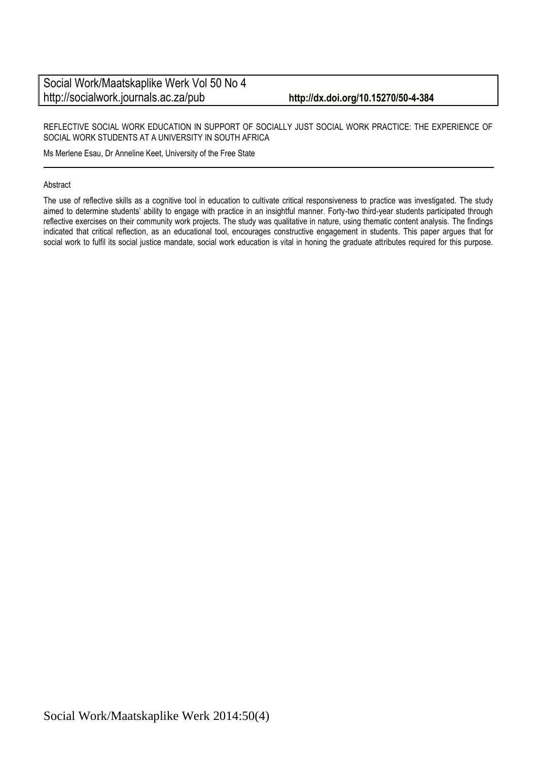#### REFLECTIVE SOCIAL WORK EDUCATION IN SUPPORT OF SOCIALLY JUST SOCIAL WORK PRACTICE: THE EXPERIENCE OF SOCIAL WORK STUDENTS AT A UNIVERSITY IN SOUTH AFRICA

Ms Merlene Esau, Dr Anneline Keet, University of the Free State

#### Abstract

The use of reflective skills as a cognitive tool in education to cultivate critical responsiveness to practice was investigated. The study aimed to determine students' ability to engage with practice in an insightful manner. Forty-two third-year students participated through reflective exercises on their community work projects. The study was qualitative in nature, using thematic content analysis. The findings indicated that critical reflection, as an educational tool, encourages constructive engagement in students. This paper argues that for social work to fulfil its social justice mandate, social work education is vital in honing the graduate attributes required for this purpose.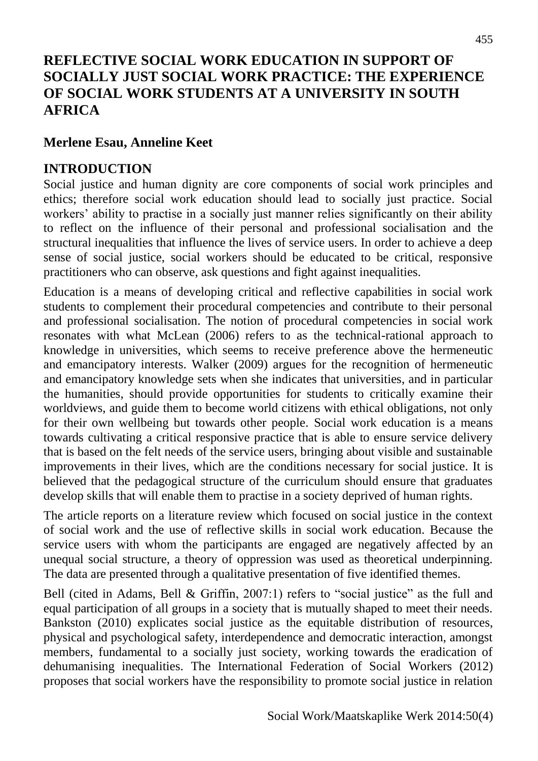# **REFLECTIVE SOCIAL WORK EDUCATION IN SUPPORT OF SOCIALLY JUST SOCIAL WORK PRACTICE: THE EXPERIENCE OF SOCIAL WORK STUDENTS AT A UNIVERSITY IN SOUTH AFRICA**

#### **Merlene Esau, Anneline Keet**

#### **INTRODUCTION**

Social justice and human dignity are core components of social work principles and ethics; therefore social work education should lead to socially just practice. Social workers' ability to practise in a socially just manner relies significantly on their ability to reflect on the influence of their personal and professional socialisation and the structural inequalities that influence the lives of service users. In order to achieve a deep sense of social justice, social workers should be educated to be critical, responsive practitioners who can observe, ask questions and fight against inequalities.

Education is a means of developing critical and reflective capabilities in social work students to complement their procedural competencies and contribute to their personal and professional socialisation. The notion of procedural competencies in social work resonates with what McLean (2006) refers to as the technical-rational approach to knowledge in universities, which seems to receive preference above the hermeneutic and emancipatory interests. Walker (2009) argues for the recognition of hermeneutic and emancipatory knowledge sets when she indicates that universities, and in particular the humanities, should provide opportunities for students to critically examine their worldviews, and guide them to become world citizens with ethical obligations, not only for their own wellbeing but towards other people. Social work education is a means towards cultivating a critical responsive practice that is able to ensure service delivery that is based on the felt needs of the service users, bringing about visible and sustainable improvements in their lives, which are the conditions necessary for social justice. It is believed that the pedagogical structure of the curriculum should ensure that graduates develop skills that will enable them to practise in a society deprived of human rights.

The article reports on a literature review which focused on social justice in the context of social work and the use of reflective skills in social work education. Because the service users with whom the participants are engaged are negatively affected by an unequal social structure, a theory of oppression was used as theoretical underpinning. The data are presented through a qualitative presentation of five identified themes.

Bell (cited in Adams, Bell & Griffin, 2007:1) refers to "social justice" as the full and equal participation of all groups in a society that is mutually shaped to meet their needs. Bankston (2010) explicates social justice as the equitable distribution of resources, physical and psychological safety, interdependence and democratic interaction, amongst members, fundamental to a socially just society, working towards the eradication of dehumanising inequalities. The International Federation of Social Workers (2012) proposes that social workers have the responsibility to promote social justice in relation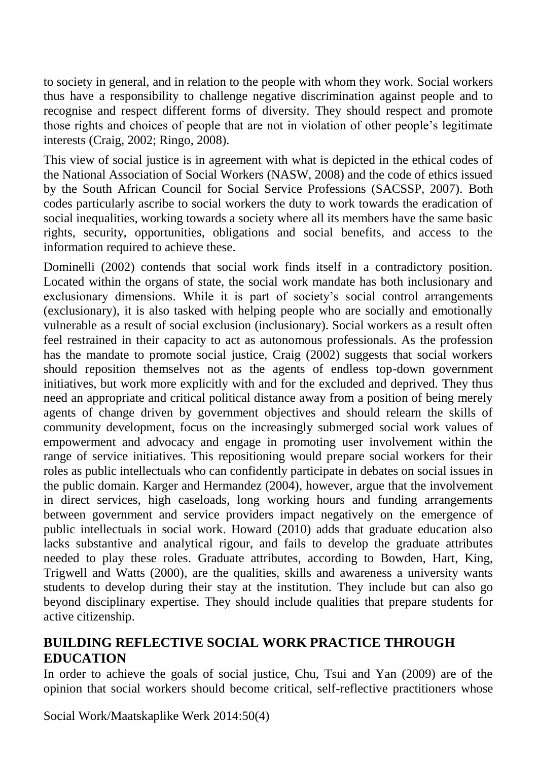to society in general, and in relation to the people with whom they work. Social workers thus have a responsibility to challenge negative discrimination against people and to recognise and respect different forms of diversity. They should respect and promote those rights and choices of people that are not in violation of other people's legitimate interests (Craig, 2002; Ringo, 2008).

This view of social justice is in agreement with what is depicted in the ethical codes of the National Association of Social Workers (NASW, 2008) and the code of ethics issued by the South African Council for Social Service Professions (SACSSP, 2007). Both codes particularly ascribe to social workers the duty to work towards the eradication of social inequalities, working towards a society where all its members have the same basic rights, security, opportunities, obligations and social benefits, and access to the information required to achieve these.

Dominelli (2002) contends that social work finds itself in a contradictory position. Located within the organs of state, the social work mandate has both inclusionary and exclusionary dimensions. While it is part of society's social control arrangements (exclusionary), it is also tasked with helping people who are socially and emotionally vulnerable as a result of social exclusion (inclusionary). Social workers as a result often feel restrained in their capacity to act as autonomous professionals. As the profession has the mandate to promote social justice, Craig (2002) suggests that social workers should reposition themselves not as the agents of endless top-down government initiatives, but work more explicitly with and for the excluded and deprived. They thus need an appropriate and critical political distance away from a position of being merely agents of change driven by government objectives and should relearn the skills of community development, focus on the increasingly submerged social work values of empowerment and advocacy and engage in promoting user involvement within the range of service initiatives. This repositioning would prepare social workers for their roles as public intellectuals who can confidently participate in debates on social issues in the public domain. Karger and Hermandez (2004), however, argue that the involvement in direct services, high caseloads, long working hours and funding arrangements between government and service providers impact negatively on the emergence of public intellectuals in social work. Howard (2010) adds that graduate education also lacks substantive and analytical rigour, and fails to develop the graduate attributes needed to play these roles. Graduate attributes, according to Bowden, Hart, King, Trigwell and Watts (2000), are the qualities, skills and awareness a university wants students to develop during their stay at the institution. They include but can also go beyond disciplinary expertise. They should include qualities that prepare students for active citizenship.

## **BUILDING REFLECTIVE SOCIAL WORK PRACTICE THROUGH EDUCATION**

In order to achieve the goals of social justice, Chu, Tsui and Yan (2009) are of the opinion that social workers should become critical, self-reflective practitioners whose

Social Work/Maatskaplike Werk 2014:50(4)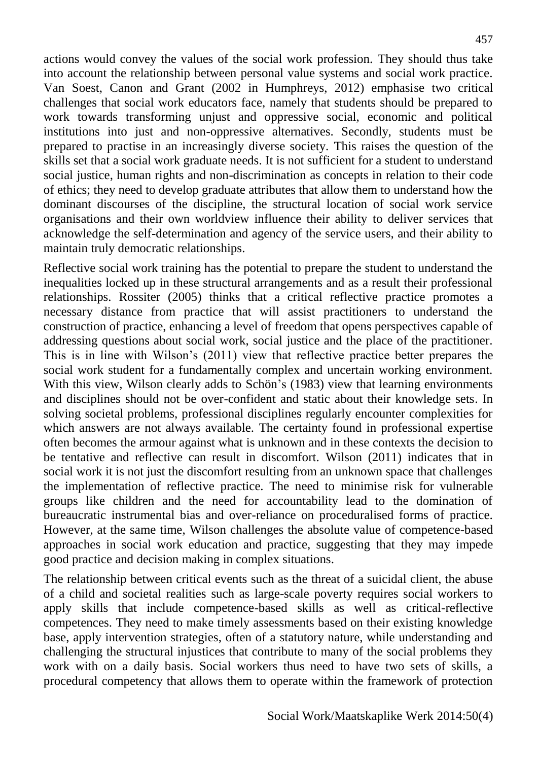actions would convey the values of the social work profession. They should thus take into account the relationship between personal value systems and social work practice. Van Soest, Canon and Grant (2002 in Humphreys, 2012) emphasise two critical challenges that social work educators face, namely that students should be prepared to work towards transforming unjust and oppressive social, economic and political institutions into just and non-oppressive alternatives. Secondly, students must be prepared to practise in an increasingly diverse society. This raises the question of the skills set that a social work graduate needs. It is not sufficient for a student to understand social justice, human rights and non-discrimination as concepts in relation to their code of ethics; they need to develop graduate attributes that allow them to understand how the dominant discourses of the discipline, the structural location of social work service organisations and their own worldview influence their ability to deliver services that acknowledge the self-determination and agency of the service users, and their ability to maintain truly democratic relationships.

Reflective social work training has the potential to prepare the student to understand the inequalities locked up in these structural arrangements and as a result their professional relationships. Rossiter (2005) thinks that a critical reflective practice promotes a necessary distance from practice that will assist practitioners to understand the construction of practice, enhancing a level of freedom that opens perspectives capable of addressing questions about social work, social justice and the place of the practitioner. This is in line with Wilson's (2011) view that reflective practice better prepares the social work student for a fundamentally complex and uncertain working environment. With this view, Wilson clearly adds to Schön's (1983) view that learning environments and disciplines should not be over-confident and static about their knowledge sets. In solving societal problems, professional disciplines regularly encounter complexities for which answers are not always available. The certainty found in professional expertise often becomes the armour against what is unknown and in these contexts the decision to be tentative and reflective can result in discomfort. Wilson (2011) indicates that in social work it is not just the discomfort resulting from an unknown space that challenges the implementation of reflective practice. The need to minimise risk for vulnerable groups like children and the need for accountability lead to the domination of bureaucratic instrumental bias and over-reliance on proceduralised forms of practice. However, at the same time, Wilson challenges the absolute value of competence-based approaches in social work education and practice, suggesting that they may impede good practice and decision making in complex situations.

The relationship between critical events such as the threat of a suicidal client, the abuse of a child and societal realities such as large-scale poverty requires social workers to apply skills that include competence-based skills as well as critical-reflective competences. They need to make timely assessments based on their existing knowledge base, apply intervention strategies, often of a statutory nature, while understanding and challenging the structural injustices that contribute to many of the social problems they work with on a daily basis. Social workers thus need to have two sets of skills, a procedural competency that allows them to operate within the framework of protection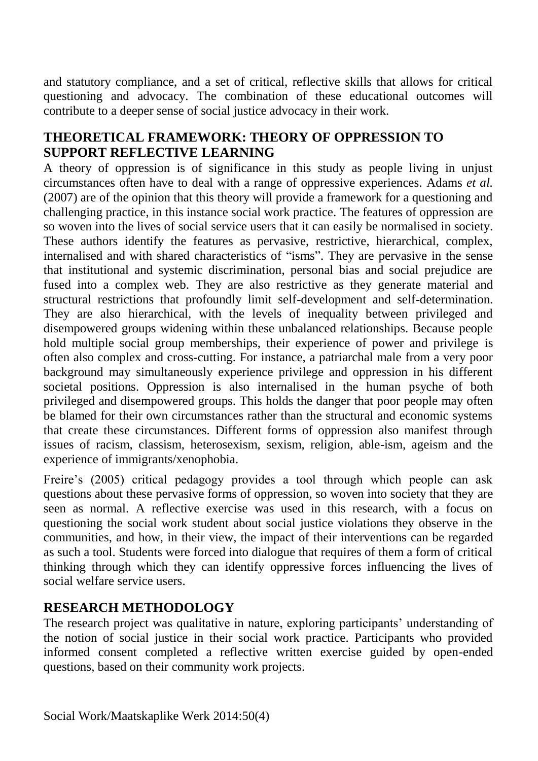and statutory compliance, and a set of critical, reflective skills that allows for critical questioning and advocacy. The combination of these educational outcomes will contribute to a deeper sense of social justice advocacy in their work.

# **THEORETICAL FRAMEWORK: THEORY OF OPPRESSION TO SUPPORT REFLECTIVE LEARNING**

A theory of oppression is of significance in this study as people living in unjust circumstances often have to deal with a range of oppressive experiences. Adams *et al.* (2007) are of the opinion that this theory will provide a framework for a questioning and challenging practice, in this instance social work practice. The features of oppression are so woven into the lives of social service users that it can easily be normalised in society. These authors identify the features as pervasive, restrictive, hierarchical, complex, internalised and with shared characteristics of "isms". They are pervasive in the sense that institutional and systemic discrimination, personal bias and social prejudice are fused into a complex web. They are also restrictive as they generate material and structural restrictions that profoundly limit self-development and self-determination. They are also hierarchical, with the levels of inequality between privileged and disempowered groups widening within these unbalanced relationships. Because people hold multiple social group memberships, their experience of power and privilege is often also complex and cross-cutting. For instance, a patriarchal male from a very poor background may simultaneously experience privilege and oppression in his different societal positions. Oppression is also internalised in the human psyche of both privileged and disempowered groups. This holds the danger that poor people may often be blamed for their own circumstances rather than the structural and economic systems that create these circumstances. Different forms of oppression also manifest through issues of racism, classism, heterosexism, sexism, religion, able-ism, ageism and the experience of immigrants/xenophobia.

Freire's (2005) critical pedagogy provides a tool through which people can ask questions about these pervasive forms of oppression, so woven into society that they are seen as normal. A reflective exercise was used in this research, with a focus on questioning the social work student about social justice violations they observe in the communities, and how, in their view, the impact of their interventions can be regarded as such a tool. Students were forced into dialogue that requires of them a form of critical thinking through which they can identify oppressive forces influencing the lives of social welfare service users.

# **RESEARCH METHODOLOGY**

The research project was qualitative in nature, exploring participants' understanding of the notion of social justice in their social work practice. Participants who provided informed consent completed a reflective written exercise guided by open-ended questions, based on their community work projects.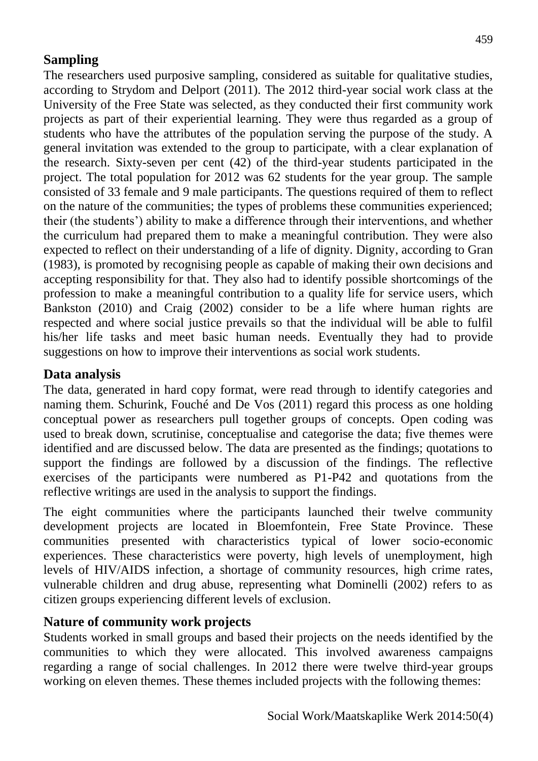# **Sampling**

The researchers used purposive sampling, considered as suitable for qualitative studies, according to Strydom and Delport (2011). The 2012 third-year social work class at the University of the Free State was selected, as they conducted their first community work projects as part of their experiential learning. They were thus regarded as a group of students who have the attributes of the population serving the purpose of the study. A general invitation was extended to the group to participate, with a clear explanation of the research. Sixty-seven per cent (42) of the third-year students participated in the project. The total population for 2012 was 62 students for the year group. The sample consisted of 33 female and 9 male participants. The questions required of them to reflect on the nature of the communities; the types of problems these communities experienced; their (the students') ability to make a difference through their interventions, and whether the curriculum had prepared them to make a meaningful contribution. They were also expected to reflect on their understanding of a life of dignity. Dignity, according to Gran (1983), is promoted by recognising people as capable of making their own decisions and accepting responsibility for that. They also had to identify possible shortcomings of the profession to make a meaningful contribution to a quality life for service users, which Bankston (2010) and Craig (2002) consider to be a life where human rights are respected and where social justice prevails so that the individual will be able to fulfil his/her life tasks and meet basic human needs. Eventually they had to provide suggestions on how to improve their interventions as social work students.

## **Data analysis**

The data, generated in hard copy format, were read through to identify categories and naming them. Schurink, Fouché and De Vos (2011) regard this process as one holding conceptual power as researchers pull together groups of concepts. Open coding was used to break down, scrutinise, conceptualise and categorise the data; five themes were identified and are discussed below. The data are presented as the findings; quotations to support the findings are followed by a discussion of the findings. The reflective exercises of the participants were numbered as P1-P42 and quotations from the reflective writings are used in the analysis to support the findings.

The eight communities where the participants launched their twelve community development projects are located in Bloemfontein, Free State Province. These communities presented with characteristics typical of lower socio-economic experiences. These characteristics were poverty, high levels of unemployment, high levels of HIV/AIDS infection, a shortage of community resources, high crime rates, vulnerable children and drug abuse, representing what Dominelli (2002) refers to as citizen groups experiencing different levels of exclusion.

## **Nature of community work projects**

Students worked in small groups and based their projects on the needs identified by the communities to which they were allocated. This involved awareness campaigns regarding a range of social challenges. In 2012 there were twelve third-year groups working on eleven themes. These themes included projects with the following themes: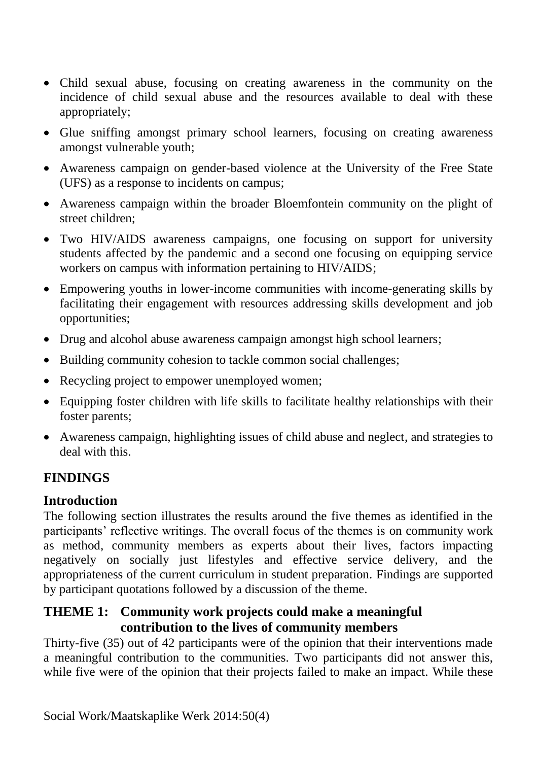- Child sexual abuse, focusing on creating awareness in the community on the incidence of child sexual abuse and the resources available to deal with these appropriately;
- Glue sniffing amongst primary school learners, focusing on creating awareness amongst vulnerable youth;
- Awareness campaign on gender-based violence at the University of the Free State (UFS) as a response to incidents on campus;
- Awareness campaign within the broader Bloemfontein community on the plight of street children;
- Two HIV/AIDS awareness campaigns, one focusing on support for university students affected by the pandemic and a second one focusing on equipping service workers on campus with information pertaining to HIV/AIDS;
- Empowering youths in lower-income communities with income-generating skills by facilitating their engagement with resources addressing skills development and job opportunities;
- Drug and alcohol abuse awareness campaign amongst high school learners;
- Building community cohesion to tackle common social challenges;
- Recycling project to empower unemployed women;
- Equipping foster children with life skills to facilitate healthy relationships with their foster parents;
- Awareness campaign, highlighting issues of child abuse and neglect, and strategies to deal with this.

# **FINDINGS**

# **Introduction**

The following section illustrates the results around the five themes as identified in the participants' reflective writings. The overall focus of the themes is on community work as method, community members as experts about their lives, factors impacting negatively on socially just lifestyles and effective service delivery, and the appropriateness of the current curriculum in student preparation. Findings are supported by participant quotations followed by a discussion of the theme.

## **THEME 1: Community work projects could make a meaningful contribution to the lives of community members**

Thirty-five (35) out of 42 participants were of the opinion that their interventions made a meaningful contribution to the communities. Two participants did not answer this, while five were of the opinion that their projects failed to make an impact. While these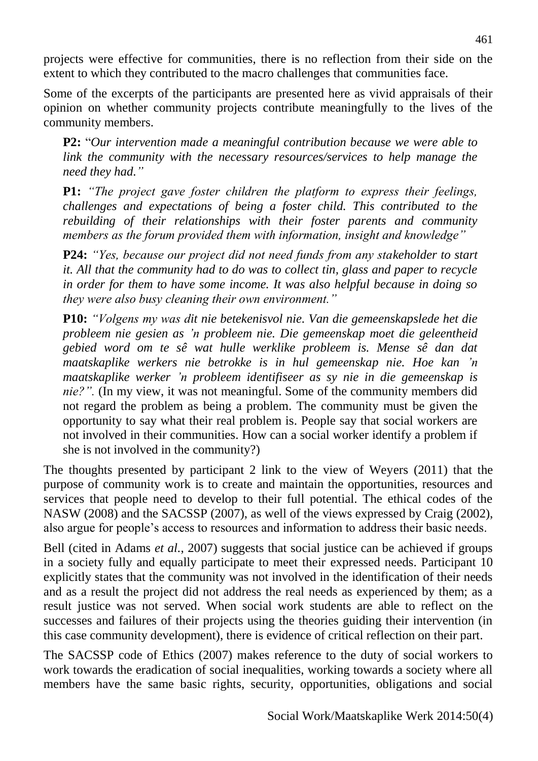projects were effective for communities, there is no reflection from their side on the extent to which they contributed to the macro challenges that communities face.

Some of the excerpts of the participants are presented here as vivid appraisals of their opinion on whether community projects contribute meaningfully to the lives of the community members.

**P2:** "*Our intervention made a meaningful contribution because we were able to link the community with the necessary resources/services to help manage the need they had."*

**P1:** *"The project gave foster children the platform to express their feelings, challenges and expectations of being a foster child. This contributed to the rebuilding of their relationships with their foster parents and community members as the forum provided them with information, insight and knowledge"* 

**P24:** *"Yes, because our project did not need funds from any stakeholder to start it. All that the community had to do was to collect tin, glass and paper to recycle in order for them to have some income. It was also helpful because in doing so they were also busy cleaning their own environment."*

**P10:** *"Volgens my was dit nie betekenisvol nie. Van die gemeenskapslede het die probleem nie gesien as 'n probleem nie. Die gemeenskap moet die geleentheid gebied word om te sê wat hulle werklike probleem is. Mense sê dan dat maatskaplike werkers nie betrokke is in hul gemeenskap nie. Hoe kan 'n maatskaplike werker 'n probleem identifiseer as sy nie in die gemeenskap is nie?".* (In my view, it was not meaningful. Some of the community members did not regard the problem as being a problem. The community must be given the opportunity to say what their real problem is. People say that social workers are not involved in their communities. How can a social worker identify a problem if she is not involved in the community?)

The thoughts presented by participant 2 link to the view of Weyers (2011) that the purpose of community work is to create and maintain the opportunities, resources and services that people need to develop to their full potential. The ethical codes of the NASW (2008) and the SACSSP (2007), as well of the views expressed by Craig (2002), also argue for people's access to resources and information to address their basic needs.

Bell (cited in Adams *et al.*, 2007) suggests that social justice can be achieved if groups in a society fully and equally participate to meet their expressed needs. Participant 10 explicitly states that the community was not involved in the identification of their needs and as a result the project did not address the real needs as experienced by them; as a result justice was not served. When social work students are able to reflect on the successes and failures of their projects using the theories guiding their intervention (in this case community development), there is evidence of critical reflection on their part.

The SACSSP code of Ethics (2007) makes reference to the duty of social workers to work towards the eradication of social inequalities, working towards a society where all members have the same basic rights, security, opportunities, obligations and social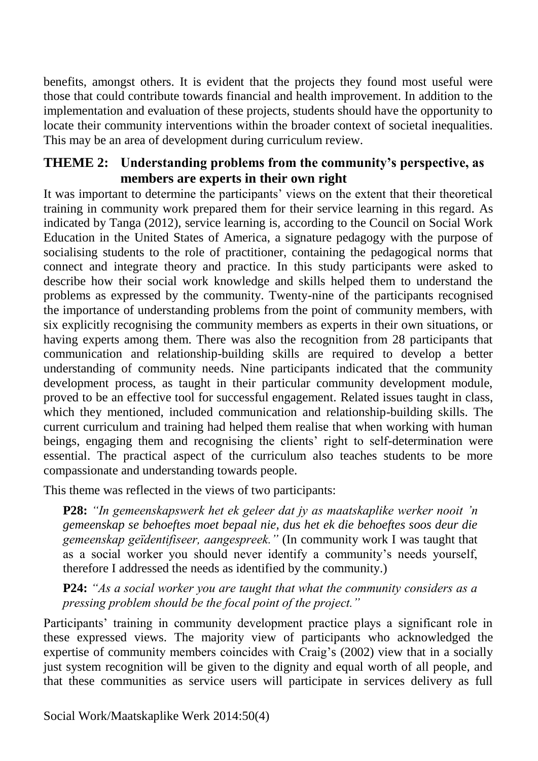benefits, amongst others. It is evident that the projects they found most useful were those that could contribute towards financial and health improvement. In addition to the implementation and evaluation of these projects, students should have the opportunity to locate their community interventions within the broader context of societal inequalities. This may be an area of development during curriculum review.

## **THEME 2: Understanding problems from the community's perspective, as members are experts in their own right**

It was important to determine the participants' views on the extent that their theoretical training in community work prepared them for their service learning in this regard. As indicated by Tanga (2012), service learning is, according to the Council on Social Work Education in the United States of America, a signature pedagogy with the purpose of socialising students to the role of practitioner, containing the pedagogical norms that connect and integrate theory and practice. In this study participants were asked to describe how their social work knowledge and skills helped them to understand the problems as expressed by the community. Twenty-nine of the participants recognised the importance of understanding problems from the point of community members, with six explicitly recognising the community members as experts in their own situations, or having experts among them. There was also the recognition from 28 participants that communication and relationship-building skills are required to develop a better understanding of community needs. Nine participants indicated that the community development process, as taught in their particular community development module, proved to be an effective tool for successful engagement. Related issues taught in class, which they mentioned, included communication and relationship-building skills. The current curriculum and training had helped them realise that when working with human beings, engaging them and recognising the clients' right to self-determination were essential. The practical aspect of the curriculum also teaches students to be more compassionate and understanding towards people.

This theme was reflected in the views of two participants:

**P28:** *"In gemeenskapswerk het ek geleer dat jy as maatskaplike werker nooit 'n gemeenskap se behoeftes moet bepaal nie, dus het ek die behoeftes soos deur die gemeenskap geïdentifiseer, aangespreek."* (In community work I was taught that as a social worker you should never identify a community's needs yourself, therefore I addressed the needs as identified by the community.)

**P24:** *"As a social worker you are taught that what the community considers as a pressing problem should be the focal point of the project."*

Participants' training in community development practice plays a significant role in these expressed views. The majority view of participants who acknowledged the expertise of community members coincides with Craig's (2002) view that in a socially just system recognition will be given to the dignity and equal worth of all people, and that these communities as service users will participate in services delivery as full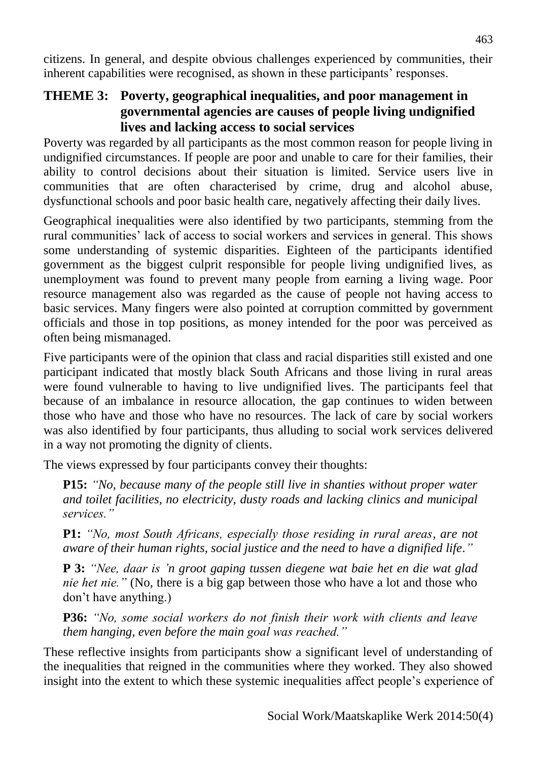citizens. In general, and despite obvious challenges experienced by communities, their inherent capabilities were recognised, as shown in these participants' responses.

# **THEME 3: Poverty, geographical inequalities, and poor management in governmental agencies are causes of people living undignified lives and lacking access to social services**

Poverty was regarded by all participants as the most common reason for people living in undignified circumstances. If people are poor and unable to care for their families, their ability to control decisions about their situation is limited. Service users live in communities that are often characterised by crime, drug and alcohol abuse, dysfunctional schools and poor basic health care, negatively affecting their daily lives.

Geographical inequalities were also identified by two participants, stemming from the rural communities' lack of access to social workers and services in general. This shows some understanding of systemic disparities. Eighteen of the participants identified government as the biggest culprit responsible for people living undignified lives, as unemployment was found to prevent many people from earning a living wage. Poor resource management also was regarded as the cause of people not having access to basic services. Many fingers were also pointed at corruption committed by government officials and those in top positions, as money intended for the poor was perceived as often being mismanaged.

Five participants were of the opinion that class and racial disparities still existed and one participant indicated that mostly black South Africans and those living in rural areas were found vulnerable to having to live undignified lives. The participants feel that because of an imbalance in resource allocation, the gap continues to widen between those who have and those who have no resources. The lack of care by social workers was also identified by four participants, thus alluding to social work services delivered in a way not promoting the dignity of clients.

The views expressed by four participants convey their thoughts:

**P15:** *"No, because many of the people still live in shanties without proper water and toilet facilities, no electricity, dusty roads and lacking clinics and municipal services."*

**P1:** *"No, most South Africans, especially those residing in rural areas, are not aware of their human rights, social justice and the need to have a dignified life."*

**P 3:** *"Nee, daar is 'n groot gaping tussen diegene wat baie het en die wat glad nie het nie."* (No, there is a big gap between those who have a lot and those who don't have anything.)

**P36:** *"No, some social workers do not finish their work with clients and leave them hanging, even before the main goal was reached."* 

These reflective insights from participants show a significant level of understanding of the inequalities that reigned in the communities where they worked. They also showed insight into the extent to which these systemic inequalities affect people's experience of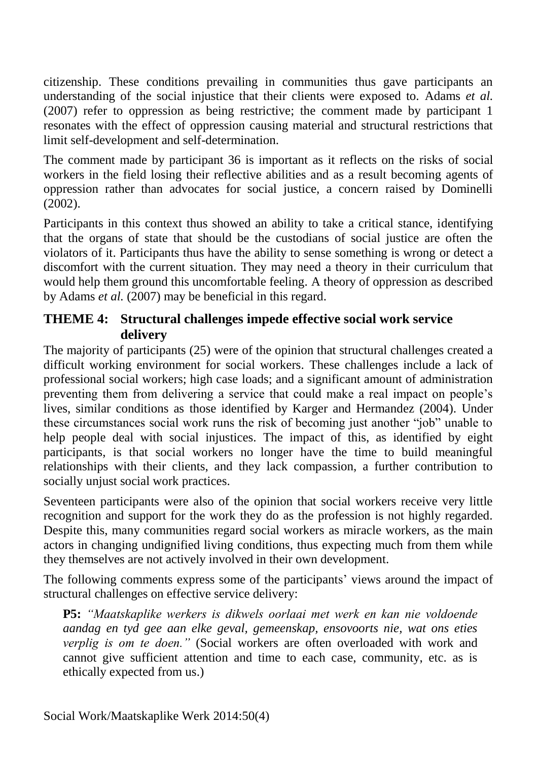citizenship. These conditions prevailing in communities thus gave participants an understanding of the social injustice that their clients were exposed to. Adams *et al.* (2007) refer to oppression as being restrictive; the comment made by participant 1 resonates with the effect of oppression causing material and structural restrictions that limit self-development and self-determination.

The comment made by participant 36 is important as it reflects on the risks of social workers in the field losing their reflective abilities and as a result becoming agents of oppression rather than advocates for social justice, a concern raised by Dominelli (2002).

Participants in this context thus showed an ability to take a critical stance, identifying that the organs of state that should be the custodians of social justice are often the violators of it. Participants thus have the ability to sense something is wrong or detect a discomfort with the current situation. They may need a theory in their curriculum that would help them ground this uncomfortable feeling. A theory of oppression as described by Adams *et al.* (2007) may be beneficial in this regard.

## **THEME 4: Structural challenges impede effective social work service delivery**

The majority of participants (25) were of the opinion that structural challenges created a difficult working environment for social workers. These challenges include a lack of professional social workers; high case loads; and a significant amount of administration preventing them from delivering a service that could make a real impact on people's lives, similar conditions as those identified by Karger and Hermandez (2004). Under these circumstances social work runs the risk of becoming just another "job" unable to help people deal with social injustices. The impact of this, as identified by eight participants, is that social workers no longer have the time to build meaningful relationships with their clients, and they lack compassion, a further contribution to socially unjust social work practices.

Seventeen participants were also of the opinion that social workers receive very little recognition and support for the work they do as the profession is not highly regarded. Despite this, many communities regard social workers as miracle workers, as the main actors in changing undignified living conditions, thus expecting much from them while they themselves are not actively involved in their own development.

The following comments express some of the participants' views around the impact of structural challenges on effective service delivery:

**P5:** *"Maatskaplike werkers is dikwels oorlaai met werk en kan nie voldoende aandag en tyd gee aan elke geval, gemeenskap, ensovoorts nie, wat ons eties verplig is om te doen."* (Social workers are often overloaded with work and cannot give sufficient attention and time to each case, community, etc. as is ethically expected from us.)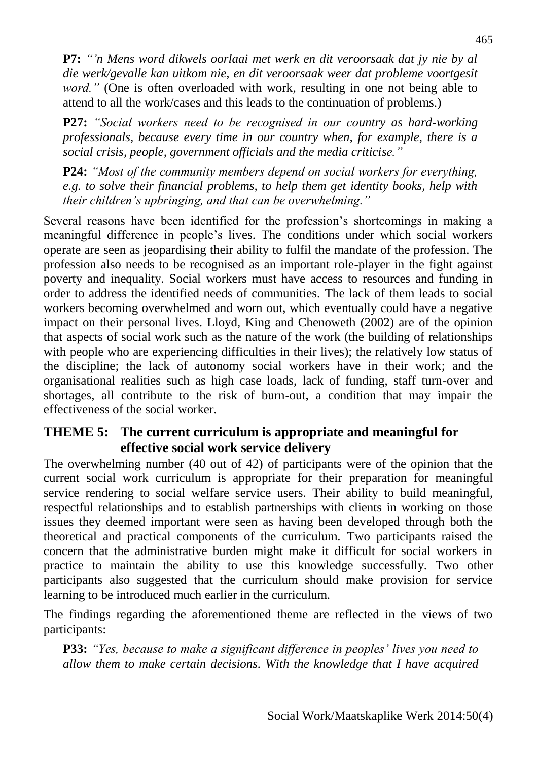**P7:** *"'n Mens word dikwels oorlaai met werk en dit veroorsaak dat jy nie by al die werk/gevalle kan uitkom nie, en dit veroorsaak weer dat probleme voortgesit word.*" (One is often overloaded with work, resulting in one not being able to attend to all the work/cases and this leads to the continuation of problems.)

**P27:** *"Social workers need to be recognised in our country as hard-working professionals, because every time in our country when, for example, there is a social crisis, people, government officials and the media criticise."*

**P24:** *"Most of the community members depend on social workers for everything, e.g. to solve their financial problems, to help them get identity books, help with their children's upbringing, and that can be overwhelming."*

Several reasons have been identified for the profession's shortcomings in making a meaningful difference in people's lives. The conditions under which social workers operate are seen as jeopardising their ability to fulfil the mandate of the profession. The profession also needs to be recognised as an important role-player in the fight against poverty and inequality. Social workers must have access to resources and funding in order to address the identified needs of communities. The lack of them leads to social workers becoming overwhelmed and worn out, which eventually could have a negative impact on their personal lives. Lloyd, King and Chenoweth (2002) are of the opinion that aspects of social work such as the nature of the work (the building of relationships with people who are experiencing difficulties in their lives); the relatively low status of the discipline; the lack of autonomy social workers have in their work; and the organisational realities such as high case loads, lack of funding, staff turn-over and shortages, all contribute to the risk of burn-out, a condition that may impair the effectiveness of the social worker.

#### **THEME 5: The current curriculum is appropriate and meaningful for effective social work service delivery**

The overwhelming number (40 out of 42) of participants were of the opinion that the current social work curriculum is appropriate for their preparation for meaningful service rendering to social welfare service users. Their ability to build meaningful, respectful relationships and to establish partnerships with clients in working on those issues they deemed important were seen as having been developed through both the theoretical and practical components of the curriculum. Two participants raised the concern that the administrative burden might make it difficult for social workers in practice to maintain the ability to use this knowledge successfully. Two other participants also suggested that the curriculum should make provision for service learning to be introduced much earlier in the curriculum.

The findings regarding the aforementioned theme are reflected in the views of two participants:

**P33:** *"Yes, because to make a significant difference in peoples' lives you need to allow them to make certain decisions. With the knowledge that I have acquired*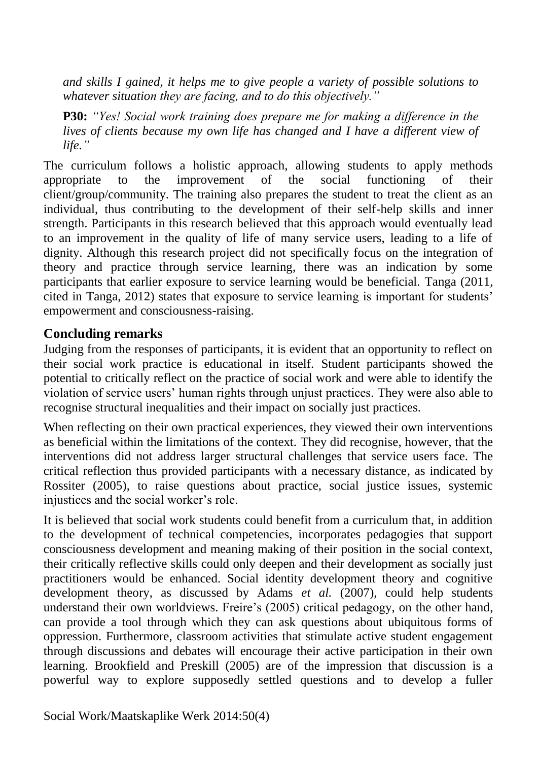*and skills I gained, it helps me to give people a variety of possible solutions to whatever situation they are facing, and to do this objectively."*

**P30:** *"Yes! Social work training does prepare me for making a difference in the lives of clients because my own life has changed and I have a different view of life."*

The curriculum follows a holistic approach, allowing students to apply methods appropriate to the improvement of the social functioning of their client/group/community. The training also prepares the student to treat the client as an individual, thus contributing to the development of their self-help skills and inner strength. Participants in this research believed that this approach would eventually lead to an improvement in the quality of life of many service users, leading to a life of dignity. Although this research project did not specifically focus on the integration of theory and practice through service learning, there was an indication by some participants that earlier exposure to service learning would be beneficial. Tanga (2011, cited in Tanga, 2012) states that exposure to service learning is important for students' empowerment and consciousness-raising.

#### **Concluding remarks**

Judging from the responses of participants, it is evident that an opportunity to reflect on their social work practice is educational in itself. Student participants showed the potential to critically reflect on the practice of social work and were able to identify the violation of service users' human rights through unjust practices. They were also able to recognise structural inequalities and their impact on socially just practices.

When reflecting on their own practical experiences, they viewed their own interventions as beneficial within the limitations of the context. They did recognise, however, that the interventions did not address larger structural challenges that service users face. The critical reflection thus provided participants with a necessary distance, as indicated by Rossiter (2005), to raise questions about practice, social justice issues, systemic injustices and the social worker's role.

It is believed that social work students could benefit from a curriculum that, in addition to the development of technical competencies, incorporates pedagogies that support consciousness development and meaning making of their position in the social context, their critically reflective skills could only deepen and their development as socially just practitioners would be enhanced. Social identity development theory and cognitive development theory, as discussed by Adams *et al.* (2007), could help students understand their own worldviews. Freire's (2005) critical pedagogy, on the other hand, can provide a tool through which they can ask questions about ubiquitous forms of oppression. Furthermore, classroom activities that stimulate active student engagement through discussions and debates will encourage their active participation in their own learning. Brookfield and Preskill (2005) are of the impression that discussion is a powerful way to explore supposedly settled questions and to develop a fuller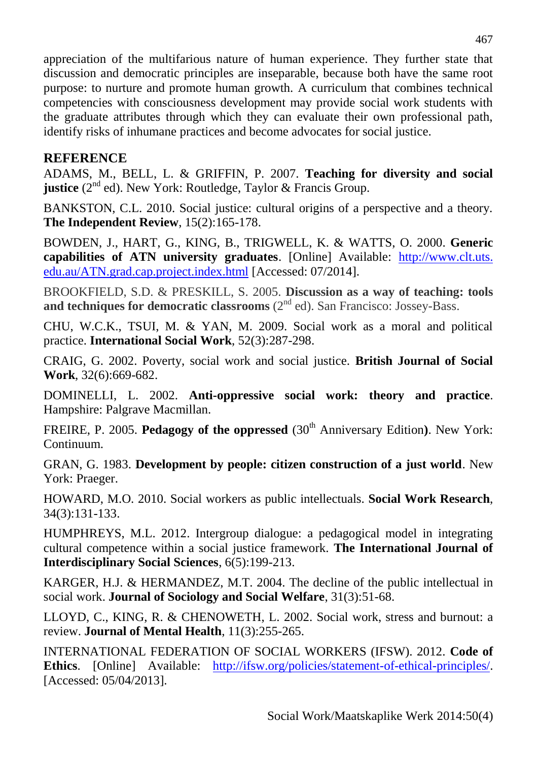appreciation of the multifarious nature of human experience. They further state that discussion and democratic principles are inseparable, because both have the same root purpose: to nurture and promote human growth. A curriculum that combines technical competencies with consciousness development may provide social work students with the graduate attributes through which they can evaluate their own professional path, identify risks of inhumane practices and become advocates for social justice.

#### **REFERENCE**

ADAMS, M., BELL, L. & GRIFFIN, P. 2007. **Teaching for diversity and social justice** (2<sup>nd</sup> ed). New York: Routledge, Taylor & Francis Group.

BANKSTON, C.L. 2010. Social justice: cultural origins of a perspective and a theory. **The Independent Review**, 15(2):165-178.

BOWDEN, J., HART, G., KING, B., TRIGWELL, K. & WATTS, O. 2000. **Generic capabilities of ATN university graduates**. [Online] Available: http://www.clt.uts. edu.au/ATN.grad.cap.project.index.html [Accessed: 07/2014].

BROOKFIELD, S.D. & PRESKILL, S. 2005. **Discussion as a way of teaching: tools**  and techniques for democratic classrooms (2<sup>nd</sup> ed). San Francisco: Jossey-Bass.

CHU, W.C.K., TSUI, M. & YAN, M. 2009. Social work as a moral and political practice. **International Social Work**, 52(3):287-298.

CRAIG, G. 2002. Poverty, social work and social justice. **British Journal of Social Work**, 32(6):669-682.

DOMINELLI, L. 2002. **Anti-oppressive social work: theory and practice**. Hampshire: Palgrave Macmillan.

FREIRE, P. 2005. **Pedagogy of the oppressed** (30<sup>th</sup> Anniversary Edition). New York: Continuum.

GRAN, G. 1983. **Development by people: citizen construction of a just world**. New York: Praeger.

HOWARD, M.O. 2010. Social workers as public intellectuals. **Social Work Research**, 34(3):131-133.

HUMPHREYS, M.L. 2012. Intergroup dialogue: a pedagogical model in integrating cultural competence within a social justice framework. **The International Journal of Interdisciplinary Social Sciences**, 6(5):199-213.

KARGER, H.J. & HERMANDEZ, M.T. 2004. The decline of the public intellectual in social work. **Journal of Sociology and Social Welfare**, 31(3):51-68.

LLOYD, C., KING, R. & CHENOWETH, L. 2002. Social work, stress and burnout: a review. **Journal of Mental Health**, 11(3):255-265.

INTERNATIONAL FEDERATION OF SOCIAL WORKERS (IFSW). 2012. **Code of Ethics**. [Online] Available: [http://ifsw.org/policies/statement-of-ethical-principles/.](http://ifsw.org/policies/statement-of-ethical-principles/) [Accessed: 05/04/2013].